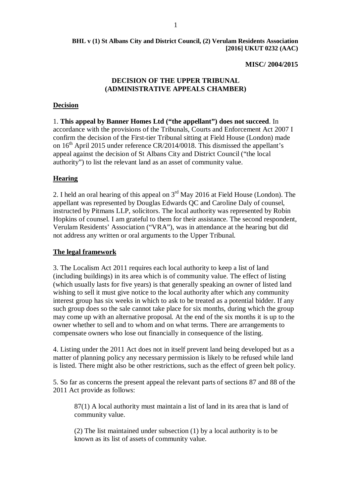#### **MISC/ 2004/2015**

### **DECISION OF THE UPPER TRIBUNAL (ADMINISTRATIVE APPEALS CHAMBER)**

#### **Decision**

1. **This appeal by Banner Homes Ltd ("the appellant") does not succeed**. In accordance with the provisions of the Tribunals, Courts and Enforcement Act 2007 I confirm the decision of the First-tier Tribunal sitting at Field House (London) made on  $16<sup>th</sup>$  April 2015 under reference CR/2014/0018. This dismissed the appellant's appeal against the decision of St Albans City and District Council ("the local authority") to list the relevant land as an asset of community value.

#### **Hearing**

2. I held an oral hearing of this appeal on  $3<sup>rd</sup>$  May 2016 at Field House (London). The appellant was represented by Douglas Edwards QC and Caroline Daly of counsel, instructed by Pitmans LLP, solicitors. The local authority was represented by Robin Hopkins of counsel. I am grateful to them for their assistance. The second respondent, Verulam Residents' Association ("VRA"), was in attendance at the hearing but did not address any written or oral arguments to the Upper Tribunal.

#### **The legal framework**

3. The Localism Act 2011 requires each local authority to keep a list of land (including buildings) in its area which is of community value. The effect of listing (which usually lasts for five years) is that generally speaking an owner of listed land wishing to sell it must give notice to the local authority after which any community interest group has six weeks in which to ask to be treated as a potential bidder. If any such group does so the sale cannot take place for six months, during which the group may come up with an alternative proposal. At the end of the six months it is up to the owner whether to sell and to whom and on what terms. There are arrangements to compensate owners who lose out financially in consequence of the listing.

4. Listing under the 2011 Act does not in itself prevent land being developed but as a matter of planning policy any necessary permission is likely to be refused while land is listed. There might also be other restrictions, such as the effect of green belt policy.

5. So far as concerns the present appeal the relevant parts of sections 87 and 88 of the 2011 Act provide as follows:

87(1) A local authority must maintain a list of land in its area that is land of community value.

(2) The list maintained under subsection (1) by a local authority is to be known as its list of assets of community value.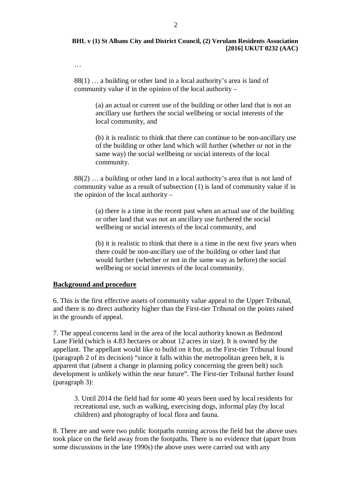#### …

88(1) … a building or other land in a local authority's area is land of community value if in the opinion of the local authority –

> (a) an actual or current use of the building or other land that is not an ancillary use furthers the social wellbeing or social interests of the local community, and

(b) it is realistic to think that there can continue to be non-ancillary use of the building or other land which will further (whether or not in the same way) the social wellbeing or social interests of the local community.

88(2) … a building or other land in a local authority's area that is not land of community value as a result of subsection (1) is land of community value if in the opinion of the local authority –

(a) there is a time in the recent past when an actual use of the building or other land that was not an ancillary use furthered the social wellbeing or social interests of the local community, and

(b) it is realistic to think that there is a time in the next five years when there could be non-ancillary use of the building or other land that would further (whether or not in the same way as before) the social wellbeing or social interests of the local community.

#### **Background and procedure**

6. This is the first effective assets of community value appeal to the Upper Tribunal, and there is no direct authority higher than the First-tier Tribunal on the points raised in the grounds of appeal.

7. The appeal concerns land in the area of the local authority known as Bedmond Lane Field (which is 4.83 hectares or about 12 acres in size). It is owned by the appellant. The appellant would like to build on it but, as the First-tier Tribunal found (paragraph 2 of its decision) "since it falls within the metropolitan green belt, it is apparent that (absent a change in planning policy concerning the green belt) such development is unlikely within the near future". The First-tier Tribunal further found (paragraph 3):

3. Until 2014 the field had for some 40 years been used by local residents for recreational use, such as walking, exercising dogs, informal play (by local children) and photography of local flora and fauna.

8. There are and were two public footpaths running across the field but the above uses took place on the field away from the footpaths. There is no evidence that (apart from some discussions in the late 1990s) the above uses were carried out with any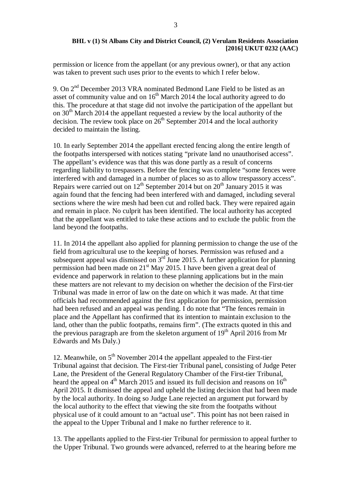permission or licence from the appellant (or any previous owner), or that any action was taken to prevent such uses prior to the events to which I refer below.

9. On 2nd December 2013 VRA nominated Bedmond Lane Field to be listed as an asset of community value and on  $16<sup>th</sup>$  March 2014 the local authority agreed to do this. The procedure at that stage did not involve the participation of the appellant but on  $30<sup>th</sup>$  March 2014 the appellant requested a review by the local authority of the decision. The review took place on  $26<sup>th</sup>$  September 2014 and the local authority decided to maintain the listing.

10. In early September 2014 the appellant erected fencing along the entire length of the footpaths interspersed with notices stating "private land no unauthorised access". The appellant's evidence was that this was done partly as a result of concerns regarding liability to trespassers. Before the fencing was complete "some fences were interfered with and damaged in a number of places so as to allow trespassory access". Repairs were carried out on  $12^{th}$  September 2014 but on  $20^{th}$  January 2015 it was again found that the fencing had been interfered with and damaged, including several sections where the wire mesh had been cut and rolled back. They were repaired again and remain in place. No culprit has been identified. The local authority has accepted that the appellant was entitled to take these actions and to exclude the public from the land beyond the footpaths.

11. In 2014 the appellant also applied for planning permission to change the use of the field from agricultural use to the keeping of horses. Permission was refused and a subsequent appeal was dismissed on  $3<sup>rd</sup>$  June 2015. A further application for planning permission had been made on  $21<sup>st</sup>$  May 2015. I have been given a great deal of evidence and paperwork in relation to these planning applications but in the main these matters are not relevant to my decision on whether the decision of the First-tier Tribunal was made in error of law on the date on which it was made. At that time officials had recommended against the first application for permission, permission had been refused and an appeal was pending. I do note that "The fences remain in place and the Appellant has confirmed that its intention to maintain exclusion to the land, other than the public footpaths, remains firm". (The extracts quoted in this and the previous paragraph are from the skeleton argument of  $19<sup>th</sup>$  April 2016 from Mr Edwards and Ms Daly.)

12. Meanwhile, on  $5<sup>th</sup>$  November 2014 the appellant appealed to the First-tier Tribunal against that decision. The First-tier Tribunal panel, consisting of Judge Peter Lane, the President of the General Regulatory Chamber of the First-tier Tribunal, heard the appeal on  $4<sup>th</sup>$  March 2015 and issued its full decision and reasons on  $16<sup>th</sup>$ April 2015. It dismissed the appeal and upheld the listing decision that had been made by the local authority. In doing so Judge Lane rejected an argument put forward by the local authority to the effect that viewing the site from the footpaths without physical use of it could amount to an "actual use". This point has not been raised in the appeal to the Upper Tribunal and I make no further reference to it.

13. The appellants applied to the First-tier Tribunal for permission to appeal further to the Upper Tribunal. Two grounds were advanced, referred to at the hearing before me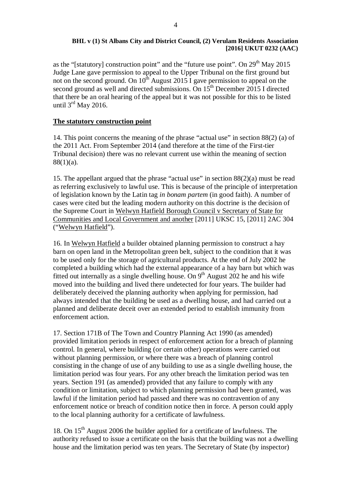as the "[statutory] construction point" and the "future use point". On  $29<sup>th</sup>$  May 2015 Judge Lane gave permission to appeal to the Upper Tribunal on the first ground but not on the second ground. On  $10^{th}$  August 2015 I gave permission to appeal on the second ground as well and directed submissions. On  $15<sup>th</sup>$  December 2015 I directed that there be an oral hearing of the appeal but it was not possible for this to be listed until  $3<sup>rd</sup>$  May 2016.

### **The statutory construction point**

14. This point concerns the meaning of the phrase "actual use" in section 88(2) (a) of the 2011 Act. From September 2014 (and therefore at the time of the First-tier Tribunal decision) there was no relevant current use within the meaning of section 88(1)(a).

15. The appellant argued that the phrase "actual use" in section 88(2)(a) must be read as referring exclusively to lawful use. This is because of the principle of interpretation of legislation known by the Latin tag *in bonam partem* (in good faith). A number of cases were cited but the leading modern authority on this doctrine is the decision of the Supreme Court in Welwyn Hatfield Borough Council v Secretary of State for Communities and Local Government and another [2011] UKSC 15, [2011] 2AC 304 ("Welwyn Hatfield").

16. In Welwyn Hatfield a builder obtained planning permission to construct a hay barn on open land in the Metropolitan green belt, subject to the condition that it was to be used only for the storage of agricultural products. At the end of July 2002 he completed a building which had the external appearance of a hay barn but which was fitted out internally as a single dwelling house. On  $9<sup>th</sup>$  August 202 he and his wife moved into the building and lived there undetected for four years. The builder had deliberately deceived the planning authority when applying for permission, had always intended that the building be used as a dwelling house, and had carried out a planned and deliberate deceit over an extended period to establish immunity from enforcement action.

17. Section 171B of The Town and Country Planning Act 1990 (as amended) provided limitation periods in respect of enforcement action for a breach of planning control. In general, where building (or certain other) operations were carried out without planning permission, or where there was a breach of planning control consisting in the change of use of any building to use as a single dwelling house, the limitation period was four years. For any other breach the limitation period was ten years. Section 191 (as amended) provided that any failure to comply with any condition or limitation, subject to which planning permission had been granted, was lawful if the limitation period had passed and there was no contravention of any enforcement notice or breach of condition notice then in force. A person could apply to the local planning authority for a certificate of lawfulness.

18. On  $15<sup>th</sup>$  August 2006 the builder applied for a certificate of lawfulness. The authority refused to issue a certificate on the basis that the building was not a dwelling house and the limitation period was ten years. The Secretary of State (by inspector)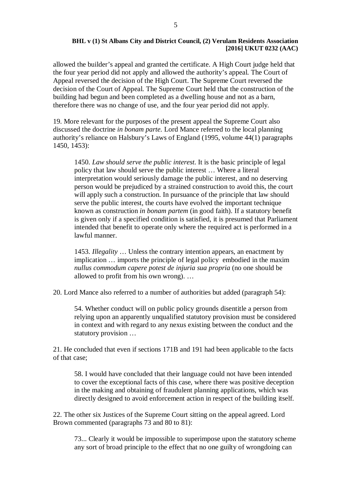allowed the builder's appeal and granted the certificate. A High Court judge held that the four year period did not apply and allowed the authority's appeal. The Court of Appeal reversed the decision of the High Court. The Supreme Court reversed the decision of the Court of Appeal. The Supreme Court held that the construction of the building had begun and been completed as a dwelling house and not as a barn, therefore there was no change of use, and the four year period did not apply.

19. More relevant for the purposes of the present appeal the Supreme Court also discussed the doctrine *in bonam parte.* Lord Mance referred to the local planning authority's reliance on Halsbury's Laws of England (1995, volume 44(1) paragraphs 1450, 1453):

1450. *Law should serve the public interest*. It is the basic principle of legal policy that law should serve the public interest … Where a literal interpretation would seriously damage the public interest, and no deserving person would be prejudiced by a strained construction to avoid this, the court will apply such a construction. In pursuance of the principle that law should serve the public interest, the courts have evolved the important technique known as construction *in bonam partem* (in good faith). If a statutory benefit is given only if a specified condition is satisfied, it is presumed that Parliament intended that benefit to operate only where the required act is performed in a lawful manner.

1453. *Illegality* … Unless the contrary intention appears, an enactment by implication … imports the principle of legal policy embodied in the maxim *nullus commodum capere potest de injuria sua propria* (no one should be allowed to profit from his own wrong). …

20. Lord Mance also referred to a number of authorities but added (paragraph 54):

54. Whether conduct will on public policy grounds disentitle a person from relying upon an apparently unqualified statutory provision must be considered in context and with regard to any nexus existing between the conduct and the statutory provision …

21. He concluded that even if sections 171B and 191 had been applicable to the facts of that case;

58. I would have concluded that their language could not have been intended to cover the exceptional facts of this case, where there was positive deception in the making and obtaining of fraudulent planning applications, which was directly designed to avoid enforcement action in respect of the building itself.

22. The other six Justices of the Supreme Court sitting on the appeal agreed. Lord Brown commented (paragraphs 73 and 80 to 81):

73... Clearly it would be impossible to superimpose upon the statutory scheme any sort of broad principle to the effect that no one guilty of wrongdoing can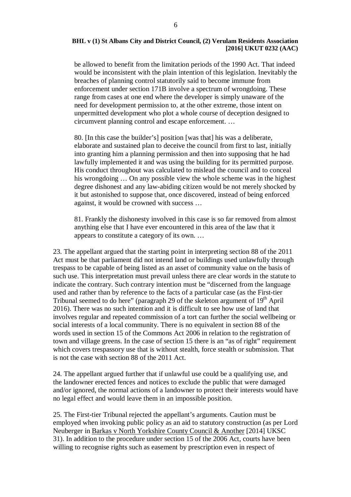be allowed to benefit from the limitation periods of the 1990 Act. That indeed would be inconsistent with the plain intention of this legislation. Inevitably the breaches of planning control statutorily said to become immune from enforcement under section 171B involve a spectrum of wrongdoing. These range from cases at one end where the developer is simply unaware of the need for development permission to, at the other extreme, those intent on unpermitted development who plot a whole course of deception designed to circumvent planning control and escape enforcement. …

80. [In this case the builder's] position [was that] his was a deliberate, elaborate and sustained plan to deceive the council from first to last, initially into granting him a planning permission and then into supposing that he had lawfully implemented it and was using the building for its permitted purpose. His conduct throughout was calculated to mislead the council and to conceal his wrongdoing … On any possible view the whole scheme was in the highest degree dishonest and any law-abiding citizen would be not merely shocked by it but astonished to suppose that, once discovered, instead of being enforced against, it would be crowned with success …

81. Frankly the dishonesty involved in this case is so far removed from almost anything else that I have ever encountered in this area of the law that it appears to constitute a category of its own. …

23. The appellant argued that the starting point in interpreting section 88 of the 2011 Act must be that parliament did not intend land or buildings used unlawfully through trespass to be capable of being listed as an asset of community value on the basis of such use. This interpretation must prevail unless there are clear words in the statute to indicate the contrary. Such contrary intention must be "discerned from the language used and rather than by reference to the facts of a particular case (as the First-tier Tribunal seemed to do here" (paragraph 29 of the skeleton argument of  $19<sup>th</sup>$  April 2016). There was no such intention and it is difficult to see how use of land that involves regular and repeated commission of a tort can further the social wellbeing or social interests of a local community. There is no equivalent in section 88 of the words used in section 15 of the Commons Act 2006 in relation to the registration of town and village greens. In the case of section 15 there is an "as of right" requirement which covers trespassory use that is without stealth, force stealth or submission. That is not the case with section 88 of the 2011 Act.

24. The appellant argued further that if unlawful use could be a qualifying use, and the landowner erected fences and notices to exclude the public that were damaged and/or ignored, the normal actions of a landowner to protect their interests would have no legal effect and would leave them in an impossible position.

25. The First-tier Tribunal rejected the appellant's arguments. Caution must be employed when invoking public policy as an aid to statutory construction (as per Lord Neuberger in Barkas v North Yorkshire County Council & Another [2014] UKSC 31). In addition to the procedure under section 15 of the 2006 Act, courts have been willing to recognise rights such as easement by prescription even in respect of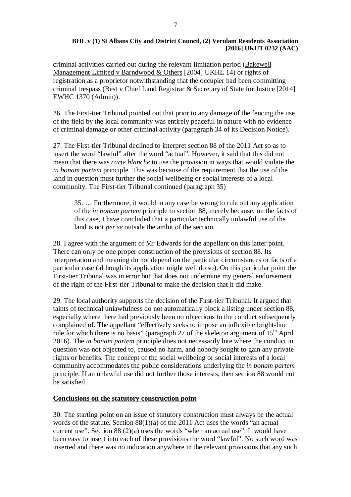criminal activities carried out during the relevant limitation period (Bakewell Management Limited v Barndwood & Others [2004] UKHL 14) or rights of registration as a proprietor notwithstanding that the occupier had been committing criminal trespass (Best v Chief Land Registrar & Secretary of State for Justice [2014] EWHC 1370 (Admin)).

26. The First-tier Tribunal pointed out that prior to any damage of the fencing the use of the field by the local community was entirely peaceful in nature with no evidence of criminal damage or other criminal activity (paragraph 34 of its Decision Notice).

27. The First-tier Tribunal declined to interpret section 88 of the 2011 Act so as to insert the word "lawful" after the word "actual". However, it said that this did not mean that there was *carte blanche* to use the provision in ways that would violate the *in bonam partem* principle. This was because of the requirement that the use of the land in question must further the social wellbeing or social interests of a local community. The First-tier Tribunal continued (paragraph 35)

35. … Furthermore, it would in any case be wrong to rule out any application of the *in bonam partem* principle to section 88, merely because, on the facts of this case, I have concluded that a particular technically unlawful use of the land is not *per se* outside the ambit of the section.

28. I agree with the argument of Mr Edwards for the appellant on this latter point. There can only be one proper construction of the provisions of section 88. Its interpretation and meaning do not depend on the particular circumstances or facts of a particular case (although its application might well do so). On this particular point the First-tier Tribunal was in error but that does not undermine my general endorsement of the right of the First-tier Tribunal to make the decision that it did make.

29. The local authority supports the decision of the First-tier Tribunal. It argued that taints of technical unlawfulness do not automatically block a listing under section 88, especially where there had previously been no objections to the conduct subsequently complained of. The appellant "effectively seeks to impose an inflexible bright-line rule for which there is no basis" (paragraph 27 of the skeleton argument of  $15<sup>th</sup>$  April 2016). The *in bonam partem* principle does not necessarily bite where the conduct in question was not objected to, caused no harm, and nobody sought to gain any private rights or benefits. The concept of the social wellbeing or social interests of a local community accommodates the public considerations underlying the *in bonam partem* principle. If an unlawful use did not further those interests, then section 88 would not be satisfied.

# **Conclusions on the statutory construction point**

30. The starting point on an issue of statutory construction must always be the actual words of the statute. Section 88(1)(a) of the 2011 Act uses the words "an actual current use". Section 88 (2)(a) uses the words "when an actual use". It would have been easy to insert into each of these provisions the word "lawful". No such word was inserted and there was no indication anywhere in the relevant provisions that any such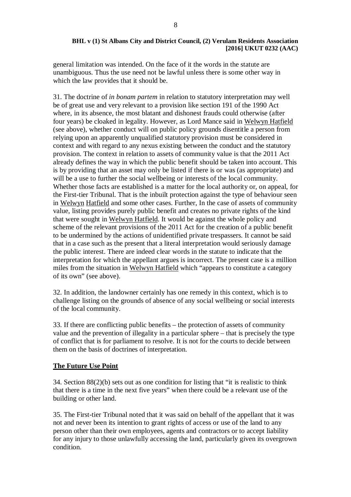general limitation was intended. On the face of it the words in the statute are unambiguous. Thus the use need not be lawful unless there is some other way in which the law provides that it should be.

31. The doctrine of *in bonam partem* in relation to statutory interpretation may well be of great use and very relevant to a provision like section 191 of the 1990 Act where, in its absence, the most blatant and dishonest frauds could otherwise (after four years) be cloaked in legality. However, as Lord Mance said in Welwyn Hatfield (see above), whether conduct will on public policy grounds disentitle a person from relying upon an apparently unqualified statutory provision must be considered in context and with regard to any nexus existing between the conduct and the statutory provision. The context in relation to assets of community value is that the 2011 Act already defines the way in which the public benefit should be taken into account. This is by providing that an asset may only be listed if there is or was (as appropriate) and will be a use to further the social wellbeing or interests of the local community. Whether those facts are established is a matter for the local authority or, on appeal, for the First-tier Tribunal. That is the inbuilt protection against the type of behaviour seen in Welwyn Hatfield and some other cases. Further, In the case of assets of community value, listing provides purely public benefit and creates no private rights of the kind that were sought in Welwyn Hatfield. It would be against the whole policy and scheme of the relevant provisions of the 2011 Act for the creation of a public benefit to be undermined by the actions of unidentified private trespassers. It cannot be said that in a case such as the present that a literal interpretation would seriously damage the public interest. There are indeed clear words in the statute to indicate that the interpretation for which the appellant argues is incorrect. The present case is a million miles from the situation in Welwyn Hatfield which "appears to constitute a category of its own" (see above).

32. In addition, the landowner certainly has one remedy in this context, which is to challenge listing on the grounds of absence of any social wellbeing or social interests of the local community.

33. If there are conflicting public benefits – the protection of assets of community value and the prevention of illegality in a particular sphere – that is precisely the type of conflict that is for parliament to resolve. It is not for the courts to decide between them on the basis of doctrines of interpretation.

## **The Future Use Point**

34. Section  $88(2)(b)$  sets out as one condition for listing that "it is realistic to think that there is a time in the next five years" when there could be a relevant use of the building or other land.

35. The First-tier Tribunal noted that it was said on behalf of the appellant that it was not and never been its intention to grant rights of access or use of the land to any person other than their own employees, agents and contractors or to accept liability for any injury to those unlawfully accessing the land, particularly given its overgrown condition.